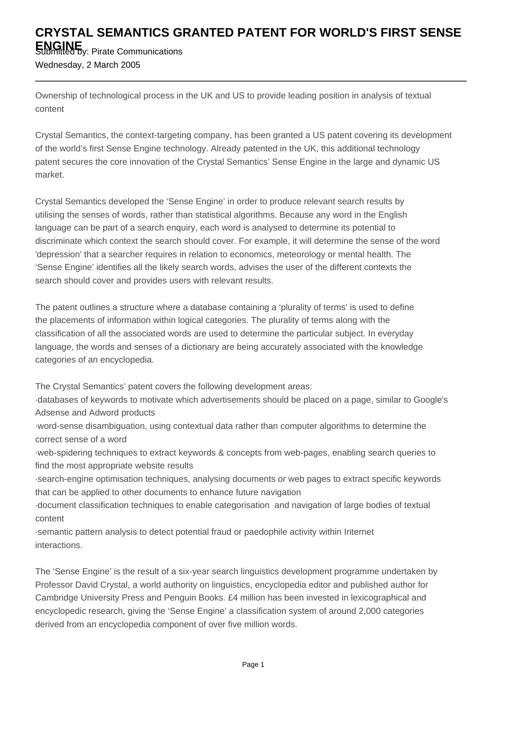## **CRYSTAL SEMANTICS GRANTED PATENT FOR WORLD'S FIRST SENSE**

**ENGINE** Submitted by: Pirate Communications Wednesday, 2 March 2005

Ownership of technological process in the UK and US to provide leading position in analysis of textual content

Crystal Semantics, the context-targeting company, has been granted a US patent covering its development of the world's first Sense Engine technology. Already patented in the UK, this additional technology patent secures the core innovation of the Crystal Semantics' Sense Engine in the large and dynamic US market.

Crystal Semantics developed the 'Sense Engine' in order to produce relevant search results by utilising the senses of words, rather than statistical algorithms. Because any word in the English language can be part of a search enquiry, each word is analysed to determine its potential to discriminate which context the search should cover. For example, it will determine the sense of the word 'depression' that a searcher requires in relation to economics, meteorology or mental health. The 'Sense Engine' identifies all the likely search words, advises the user of the different contexts the search should cover and provides users with relevant results.

The patent outlines a structure where a database containing a 'plurality of terms' is used to define the placements of information within logical categories. The plurality of terms along with the classification of all the associated words are used to determine the particular subject. In everyday language, the words and senses of a dictionary are being accurately associated with the knowledge categories of an encyclopedia.

The Crystal Semantics' patent covers the following development areas:

· databases of keywords to motivate which advertisements should be placed on a page, similar to Google's Adsense and Adword products

· word-sense disambiguation, using contextual data rather than computer algorithms to determine the correct sense of a word

· web-spidering techniques to extract keywords & concepts from web-pages, enabling search queries to find the most appropriate website results

· search-engine optimisation techniques, analysing documents or web pages to extract specific keywords that can be applied to other documents to enhance future navigation

· document classification techniques to enable categorisation and navigation of large bodies of textual content

· semantic pattern analysis to detect potential fraud or paedophile activity within Internet interactions.

The 'Sense Engine' is the result of a six-year search linguistics development programme undertaken by Professor David Crystal, a world authority on linguistics, encyclopedia editor and published author for Cambridge University Press and Penguin Books. £4 million has been invested in lexicographical and encyclopedic research, giving the 'Sense Engine' a classification system of around 2,000 categories derived from an encyclopedia component of over five million words.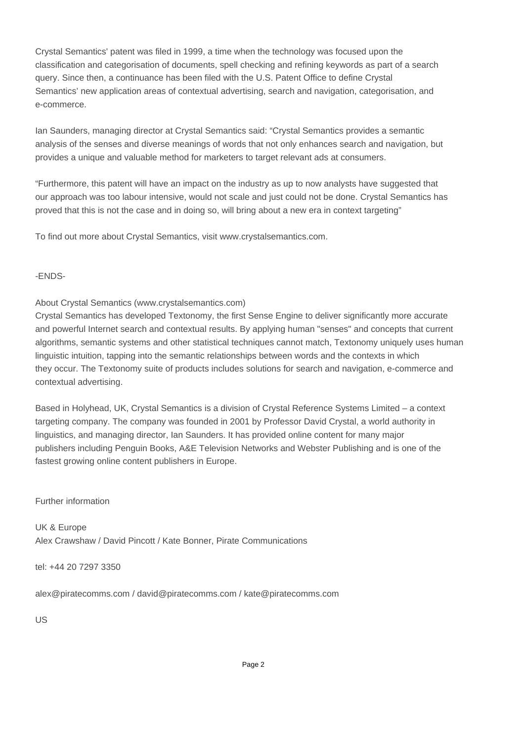Crystal Semantics' patent was filed in 1999, a time when the technology was focused upon the classification and categorisation of documents, spell checking and refining keywords as part of a search query. Since then, a continuance has been filed with the U.S. Patent Office to define Crystal Semantics' new application areas of contextual advertising, search and navigation, categorisation, and e-commerce.

Ian Saunders, managing director at Crystal Semantics said: "Crystal Semantics provides a semantic analysis of the senses and diverse meanings of words that not only enhances search and navigation, but provides a unique and valuable method for marketers to target relevant ads at consumers.

"Furthermore, this patent will have an impact on the industry as up to now analysts have suggested that our approach was too labour intensive, would not scale and just could not be done. Crystal Semantics has proved that this is not the case and in doing so, will bring about a new era in context targeting"

To find out more about Crystal Semantics, visit www.crystalsemantics.com.

## -ENDS-

About Crystal Semantics (www.crystalsemantics.com)

Crystal Semantics has developed Textonomy, the first Sense Engine to deliver significantly more accurate and powerful Internet search and contextual results. By applying human "senses" and concepts that current algorithms, semantic systems and other statistical techniques cannot match, Textonomy uniquely uses human linguistic intuition, tapping into the semantic relationships between words and the contexts in which they occur. The Textonomy suite of products includes solutions for search and navigation, e-commerce and contextual advertising.

Based in Holyhead, UK, Crystal Semantics is a division of Crystal Reference Systems Limited – a context targeting company. The company was founded in 2001 by Professor David Crystal, a world authority in linguistics, and managing director, Ian Saunders. It has provided online content for many major publishers including Penguin Books, A&E Television Networks and Webster Publishing and is one of the fastest growing online content publishers in Europe.

Further information

UK & Europe Alex Crawshaw / David Pincott / Kate Bonner, Pirate Communications

tel: +44 20 7297 3350

alex@piratecomms.com / david@piratecomms.com / kate@piratecomms.com

US